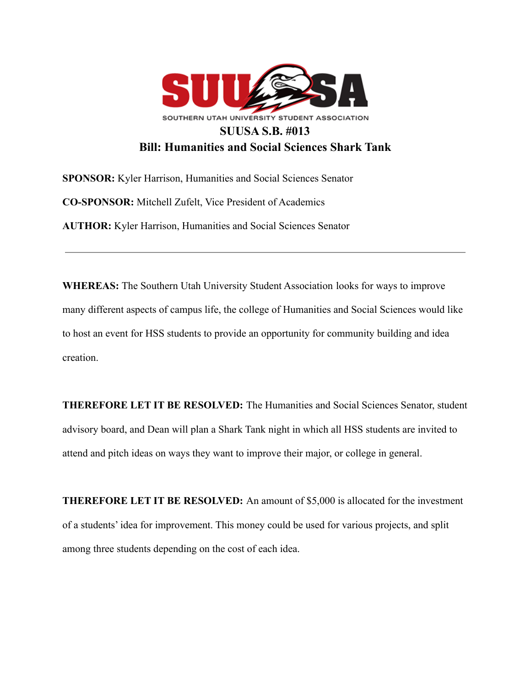

**SPONSOR:** Kyler Harrison, Humanities and Social Sciences Senator **CO-SPONSOR:** Mitchell Zufelt, Vice President of Academics **AUTHOR:** Kyler Harrison, Humanities and Social Sciences Senator

**WHEREAS:** The Southern Utah University Student Association looks for ways to improve many different aspects of campus life, the college of Humanities and Social Sciences would like to host an event for HSS students to provide an opportunity for community building and idea creation.

**THEREFORE LET IT BE RESOLVED:** The Humanities and Social Sciences Senator, student advisory board, and Dean will plan a Shark Tank night in which all HSS students are invited to attend and pitch ideas on ways they want to improve their major, or college in general.

**THEREFORE LET IT BE RESOLVED:** An amount of \$5,000 is allocated for the investment of a students' idea for improvement. This money could be used for various projects, and split among three students depending on the cost of each idea.